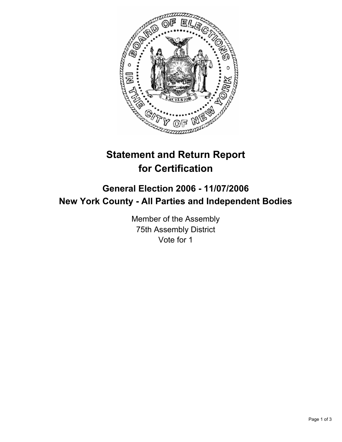

# **Statement and Return Report for Certification**

## **General Election 2006 - 11/07/2006 New York County - All Parties and Independent Bodies**

Member of the Assembly 75th Assembly District Vote for 1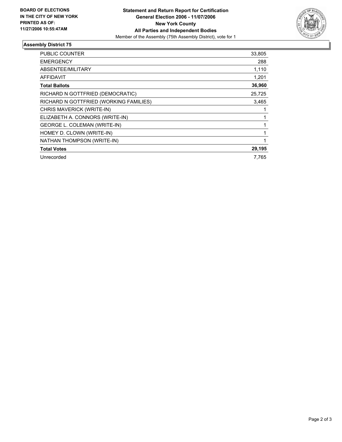

### **Assembly District 75**

| <b>PUBLIC COUNTER</b>                  | 33,805 |
|----------------------------------------|--------|
| <b>EMERGENCY</b>                       | 288    |
| ABSENTEE/MILITARY                      | 1,110  |
| AFFIDAVIT                              | 1,201  |
| <b>Total Ballots</b>                   | 36,960 |
| RICHARD N GOTTFRIED (DEMOCRATIC)       | 25,725 |
| RICHARD N GOTTFRIED (WORKING FAMILIES) | 3,465  |
| CHRIS MAVERICK (WRITE-IN)              |        |
| ELIZABETH A. CONNORS (WRITE-IN)        |        |
| <b>GEORGE L. COLEMAN (WRITE-IN)</b>    |        |
| HOMEY D. CLOWN (WRITE-IN)              |        |
| NATHAN THOMPSON (WRITE-IN)             |        |
| <b>Total Votes</b>                     | 29,195 |
| Unrecorded                             | 7.765  |